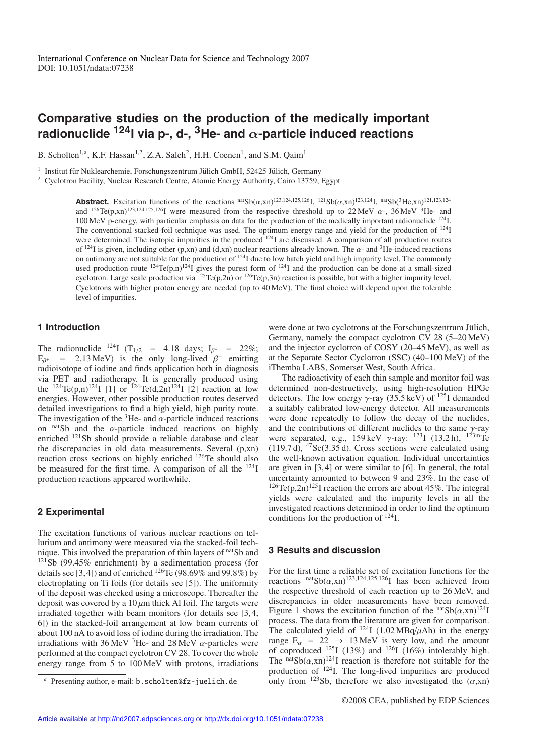# **Comparative studies on the production of the medically important radionuclide 124I via p-, d-, 3He- and** α**-particle induced reactions**

B. Scholten<sup>1,a</sup>, K.F. Hassan<sup>1,2</sup>, Z.A. Saleh<sup>2</sup>, H.H. Coenen<sup>1</sup>, and S.M. Qaim<sup>1</sup>

 $1$  Institut für Nuklearchemie, Forschungszentrum Jülich GmbH, 52425 Jülich, Germany

<sup>2</sup> Cyclotron Facility, Nuclear Research Centre, Atomic Energy Authority, Cairo 13759, Egypt

**Abstract.** Excitation functions of the reactions  $\frac{\text{nat}}{\text{Sb}(\alpha, \text{xn})^{123,124} \text{I}}$ ,  $\frac{\text{nat}}{\text{Sb}(\alpha, \text{xn})^{123,124} \text{I}}$ ,  $\frac{\text{nat}}{\text{Sb}(\text{3He}, \text{xn})^{121,123,124}}$ and  $^{126}Te(p,xn)^{123,124,125,126}$ I were measured from the respective threshold up to 22 MeV  $\alpha$ -, 36 MeV <sup>3</sup>He- and 100 MeV p-energy, with particular emphasis on data for the production of the medically important radionuclide 124I. The conventional stacked-foil technique was used. The optimum energy range and yield for the production of <sup>124</sup>I were determined. The isotopic impurities in the produced <sup>124</sup>I are discussed. A comparison of all production routes of <sup>124</sup>I is given, including other (p,xn) and (d,xn) nuclear reactions already known. The  $\alpha$ - and <sup>3</sup>He-induced reactions on antimony are not suitable for the production of  $124$ I due to low batch yield and high impurity level. The commonly used production route  $^{124}Te(p,n)^{124}I$  gives the purest form of  $^{124}I$  and the production can be done at a small-sized cyclotron. Large scale production via <sup>125</sup>Te(p,2n) or <sup>126</sup>Te(p,3n) reaction is possible, but with a higher impurity level. Cyclotrons with higher proton energy are needed (up to 40 MeV). The final choice will depend upon the tolerable level of impurities.

# **1 Introduction**

The radionuclide <sup>124</sup>I (T<sub>1/2</sub> = 4.18 days; I<sub> $\beta$ +</sub> = 22%;  $E_{\beta^+}$  = 2.13 MeV) is the only long-lived  $\beta^+$  emitting radioisotope of iodine and finds application both in diagnosis via PET and radiotherapy. It is generally produced using the <sup>124</sup>Te(p,n)<sup>124</sup>I [1] or <sup>124</sup>Te(d,2n)<sup>124</sup>I [2] reaction at low energies. However, other possible production routes deserved detailed investigations to find a high yield, high purity route. The investigation of the <sup>3</sup>He- and  $\alpha$ -particle induced reactions on nats and the  $\alpha$ -particle induced reactions on highly enriched 121Sb should provide a reliable database and clear the discrepancies in old data measurements. Several (p,xn) reaction cross sections on highly enriched 126Te should also be measured for the first time. A comparison of all the 124I production reactions appeared worthwhile.

### **2 Experimental**

The excitation functions of various nuclear reactions on tellurium and antimony were measured via the stacked-foil technique. This involved the preparation of thin layers of natSb and  $121$ Sb (99.45% enrichment) by a sedimentation process (for details see [3,4]) and of enriched  $126$ Te (98.69% and 99.8%) by electroplating on Ti foils (for details see [5]). The uniformity of the deposit was checked using a microscope. Thereafter the deposit was covered by a  $10 \mu m$  thick Al foil. The targets were irradiated together with beam monitors (for details see [3,4, 6]) in the stacked-foil arrangement at low beam currents of about 100 nA to avoid loss of iodine during the irradiation. The irradiations with 36 MeV  $3$ He- and 28 MeV  $\alpha$ -particles were performed at the compact cyclotron CV 28. To cover the whole energy range from 5 to 100 MeV with protons, irradiations were done at two cyclotrons at the Forschungszentrum Jülich, Germany, namely the compact cyclotron CV 28 (5–20 MeV) and the injector cyclotron of COSY (20–45 MeV), as well as at the Separate Sector Cyclotron (SSC) (40–100 MeV) of the iThemba LABS, Somerset West, South Africa.

The radioactivity of each thin sample and monitor foil was determined non-destructively, using high-resolution HPGe detectors. The low energy  $\gamma$ -ray (35.5 keV) of <sup>125</sup>I demanded a suitably calibrated low-energy detector. All measurements were done repeatedly to follow the decay of the nuclides, and the contributions of different nuclides to the same  $\gamma$ -ray were separated, e.g.,  $159 \,\text{keV}$   $\gamma$ -ray:  $^{123}$ I (13.2 h),  $^{123}$ mTe (119.7 d),  $47$ Sc(3.35 d). Cross sections were calculated using the well-known activation equation. Individual uncertainties are given in [3,4] or were similar to [6]. In general, the total uncertainty amounted to between 9 and 23%. In the case of <sup>126</sup>Te(p,2n)<sup>125</sup>I reaction the errors are about 45%. The integral yields were calculated and the impurity levels in all the investigated reactions determined in order to find the optimum conditions for the production of 124I.

#### **3 Results and discussion**

For the first time a reliable set of excitation functions for the reactions  $\frac{\text{nat}}{\text{Sb}(\alpha,\text{xn})^{123,124,125,126}}$  has been achieved from the respective threshold of each reaction up to 26 MeV, and discrepancies in older measurements have been removed. Figure 1 shows the excitation function of the  $n \text{at} Sb(\alpha, xn)^{124}$ I process. The data from the literature are given for comparison. The calculated yield of <sup>124</sup>I (1.02 MBq/ $\mu$ Ah) in the energy range  $E_\alpha = 22 \rightarrow 13 \text{ MeV}$  is very low, and the amount of coproduced  $^{125}I$  (13%) and  $^{126}I$  (16%) intolerably high. The natsta $Sb(\alpha, xn)^{124}$ I reaction is therefore not suitable for the production of 124I. The long-lived impurities are produced only from  $^{123}$ Sb, therefore we also investigated the  $(\alpha, xn)$ 

Presenting author, e-mail: b.scholten@fz-juelich.de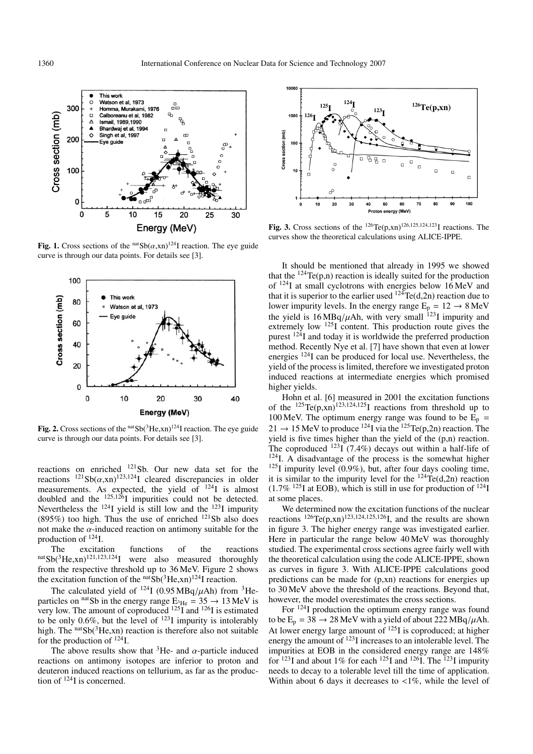

**Fig. 1.** Cross sections of the  $n \times 10^{124}$  reaction. The eye guide curve is through our data points. For details see [3].



**Fig. 2.** Cross sections of the  $n \times 10^{3}$  He,xn)<sup>124</sup>I reaction. The eye guide curve is through our data points. For details see [3].

reactions on enriched 121Sb. Our new data set for the reactions  $^{121}Sb(\alpha, xn)^{123,124}$ I cleared discrepancies in older measurements. As expected, the yield of  $^{124}$ I is almost doubled and the  $^{125,126}$ I impurities could not be detected. Nevertheless the  $^{124}$ I yield is still low and the  $^{123}$ I impurity (895%) too high. Thus the use of enriched  $^{121}Sb$  also does not make the  $\alpha$ -induced reaction on antimony suitable for the production of 124I.

The excitation functions of the reactions  $n \text{at} Sb(^{3}He,xn)^{121,123,124}$ I were also measured thoroughly from the respective threshold up to 36 MeV. Figure 2 shows the excitation function of the  $n \text{at}} Sb(^{3}He, xn)^{124}$ I reaction.

The calculated yield of  $^{124}$ I (0.95 MBq/ $\mu$ Ah) from <sup>3</sup>Heparticles on <sup>nat</sup>Sb in the energy range  $E_{^3He} = 35 \rightarrow 13 \text{ MeV}$  is very low. The amount of coproduced <sup>125</sup>I and <sup>126</sup>I is estimated to be only 0.6%, but the level of  $^{123}$ I impurity is intolerably high. The  $natSb(3He,xn)$  reaction is therefore also not suitable for the production of  $^{124}$ I.

The above results show that <sup>3</sup>He- and  $\alpha$ -particle induced reactions on antimony isotopes are inferior to proton and deuteron induced reactions on tellurium, as far as the production of 124I is concerned.



**Fig. 3.** Cross sections of the <sup>126</sup>Te(p,xn)<sup>126,125,124,123</sup>I reactions. The curves show the theoretical calculations using ALICE-IPPE.

It should be mentioned that already in 1995 we showed that the  $^{124}$ Te(p,n) reaction is ideally suited for the production of 124I at small cyclotrons with energies below 16 MeV and that it is superior to the earlier used  $124$ Te(d,2n) reaction due to lower impurity levels. In the energy range  $E_p = 12 \rightarrow 8 \text{ MeV}$ the yield is  $16 MBq/\mu Ah$ , with very small  $^{123}I$  impurity and extremely low  $^{125}I$  content. This production route gives the purest  $12\frac{3}{1}$  and today it is worldwide the preferred production method. Recently Nye et al. [7] have shown that even at lower energies 124I can be produced for local use. Nevertheless, the yield of the process is limited, therefore we investigated proton induced reactions at intermediate energies which promised higher yields.

Hohn et al. [6] measured in 2001 the excitation functions of the  $^{125}Te(p, xn)^{123,124,125}I$  reactions from threshold up to 100 MeV. The optimum energy range was found to be  $\vec{E}_p$  =  $21 \rightarrow 15$  MeV to produce <sup>124</sup>I via the <sup>125</sup>Te(p,2n) reaction. The yield is five times higher than the yield of the (p,n) reaction. The coproduced  $^{123}I(7.4\%)$  decays out within a half-life of  $124$ I. A disadvantage of the process is the somewhat higher  $125$ I impurity level (0.9%), but, after four days cooling time, it is similar to the impurity level for the  $124 \text{Te}(d,2n)$  reaction  $(1.7\%$  <sup>125</sup>I at EOB), which is still in use for production of <sup>124</sup>I at some places.

We determined now the excitation functions of the nuclear reactions  $^{126}Te(p,xn)^{123,124,125,126}I$ , and the results are shown in figure 3. The higher energy range was investigated earlier. Here in particular the range below 40 MeV was thoroughly studied. The experimental cross sections agree fairly well with the theoretical calculation using the code ALICE-IPPE, shown as curves in figure 3. With ALICE-IPPE calculations good predictions can be made for (p,xn) reactions for energies up to 30 MeV above the threshold of the reactions. Beyond that, however, the model overestimates the cross sections.

For <sup>124</sup>I production the optimum energy range was found to be  $E_p = 38 \rightarrow 28$  MeV with a yield of about 222 MBq/ $\mu$ Ah. At lower energy large amount of  $^{125}$ I is coproduced; at higher energy the amount of  $^{123}$ I increases to an intolerable level. The impurities at EOB in the considered energy range are 148% for  $^{123}$ I and about 1% for each  $^{125}$ I and  $^{126}$ I. The  $^{123}$ I impurity needs to decay to a tolerable level till the time of application. Within about 6 days it decreases to  $\langle 1\% \rangle$ , while the level of